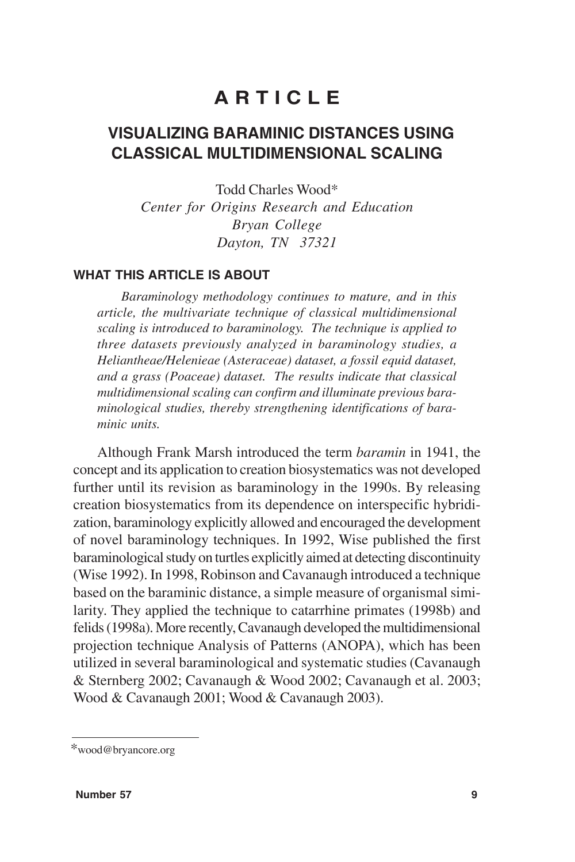# **A R T I C L E**

# **VISUALIZING BARAMINIC DISTANCES USING CLASSICAL MULTIDIMENSIONAL SCALING**

Todd Charles Wood\* *Center for Origins Research and Education*

> *Bryan College Dayton, TN 37321*

#### **WHAT THIS ARTICLE IS ABOUT**

*Baraminology methodology continues to mature, and in this article, the multivariate technique of classical multidimensional scaling is introduced to baraminology. The technique is applied to three datasets previously analyzed in baraminology studies, a Heliantheae/Helenieae (Asteraceae) dataset, a fossil equid dataset, and a grass (Poaceae) dataset. The results indicate that classical multidimensional scaling can confirm and illuminate previous baraminological studies, thereby strengthening identifications of baraminic units.*

Although Frank Marsh introduced the term *baramin* in 1941, the concept and its application to creation biosystematics was not developed further until its revision as baraminology in the 1990s. By releasing creation biosystematics from its dependence on interspecific hybridization, baraminology explicitly allowed and encouraged the development of novel baraminology techniques. In 1992, Wise published the first baraminological study on turtles explicitly aimed at detecting discontinuity (Wise 1992). In 1998, Robinson and Cavanaugh introduced a technique based on the baraminic distance, a simple measure of organismal similarity. They applied the technique to catarrhine primates (1998b) and felids (1998a). More recently, Cavanaugh developed the multidimensional projection technique Analysis of Patterns (ANOPA), which has been utilized in several baraminological and systematic studies (Cavanaugh & Sternberg 2002; Cavanaugh & Wood 2002; Cavanaugh et al. 2003; Wood & Cavanaugh 2001; Wood & Cavanaugh 2003).

<sup>\*</sup>wood@bryancore.org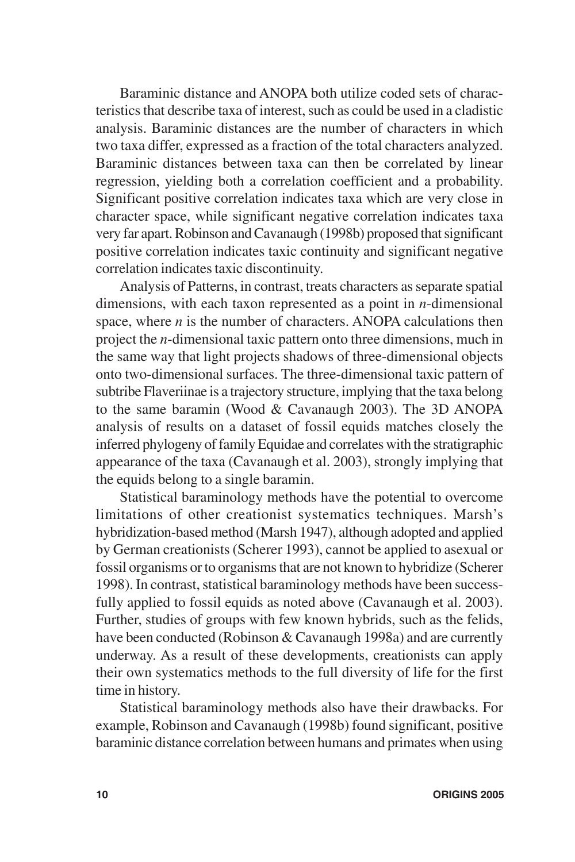Baraminic distance and ANOPA both utilize coded sets of characteristics that describe taxa of interest, such as could be used in a cladistic analysis. Baraminic distances are the number of characters in which two taxa differ, expressed as a fraction of the total characters analyzed. Baraminic distances between taxa can then be correlated by linear regression, yielding both a correlation coefficient and a probability. Significant positive correlation indicates taxa which are very close in character space, while significant negative correlation indicates taxa very far apart. Robinson and Cavanaugh (1998b) proposed that significant positive correlation indicates taxic continuity and significant negative correlation indicates taxic discontinuity.

Analysis of Patterns, in contrast, treats characters as separate spatial dimensions, with each taxon represented as a point in *n*-dimensional space, where *n* is the number of characters. ANOPA calculations then project the *n*-dimensional taxic pattern onto three dimensions, much in the same way that light projects shadows of three-dimensional objects onto two-dimensional surfaces. The three-dimensional taxic pattern of subtribe Flaveriinae is a trajectory structure, implying that the taxa belong to the same baramin (Wood & Cavanaugh 2003). The 3D ANOPA analysis of results on a dataset of fossil equids matches closely the inferred phylogeny of family Equidae and correlates with the stratigraphic appearance of the taxa (Cavanaugh et al. 2003), strongly implying that the equids belong to a single baramin.

Statistical baraminology methods have the potential to overcome limitations of other creationist systematics techniques. Marsh's hybridization-based method (Marsh 1947), although adopted and applied by German creationists (Scherer 1993), cannot be applied to asexual or fossil organisms or to organisms that are not known to hybridize (Scherer 1998). In contrast, statistical baraminology methods have been successfully applied to fossil equids as noted above (Cavanaugh et al. 2003). Further, studies of groups with few known hybrids, such as the felids, have been conducted (Robinson & Cavanaugh 1998a) and are currently underway. As a result of these developments, creationists can apply their own systematics methods to the full diversity of life for the first time in history.

Statistical baraminology methods also have their drawbacks. For example, Robinson and Cavanaugh (1998b) found significant, positive baraminic distance correlation between humans and primates when using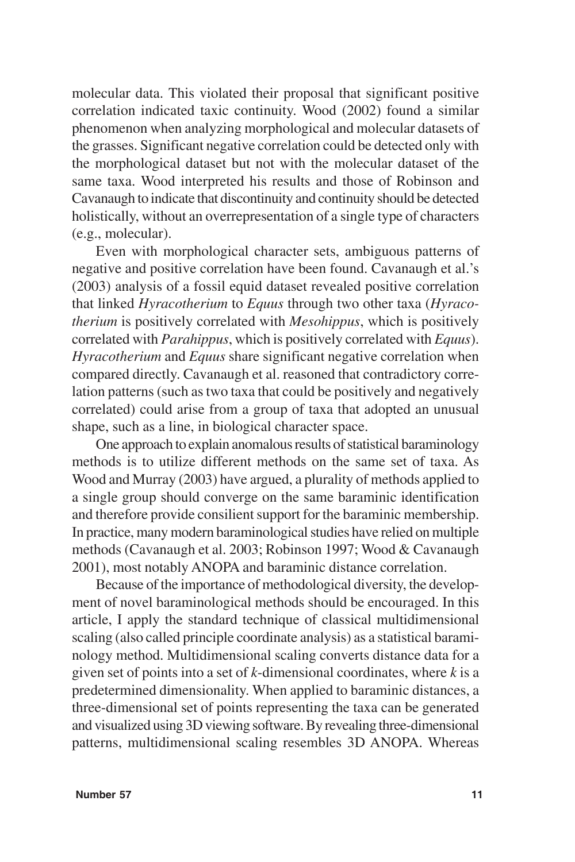molecular data. This violated their proposal that significant positive correlation indicated taxic continuity. Wood (2002) found a similar phenomenon when analyzing morphological and molecular datasets of the grasses. Significant negative correlation could be detected only with the morphological dataset but not with the molecular dataset of the same taxa. Wood interpreted his results and those of Robinson and Cavanaugh to indicate that discontinuity and continuity should be detected holistically, without an overrepresentation of a single type of characters (e.g., molecular).

Even with morphological character sets, ambiguous patterns of negative and positive correlation have been found. Cavanaugh et al.'s (2003) analysis of a fossil equid dataset revealed positive correlation that linked *Hyracotherium* to *Equus* through two other taxa (*Hyracotherium* is positively correlated with *Mesohippus*, which is positively correlated with *Parahippus*, which is positively correlated with *Equus*). *Hyracotherium* and *Equus* share significant negative correlation when compared directly. Cavanaugh et al. reasoned that contradictory correlation patterns (such as two taxa that could be positively and negatively correlated) could arise from a group of taxa that adopted an unusual shape, such as a line, in biological character space.

One approach to explain anomalous results of statistical baraminology methods is to utilize different methods on the same set of taxa. As Wood and Murray (2003) have argued, a plurality of methods applied to a single group should converge on the same baraminic identification and therefore provide consilient support for the baraminic membership. In practice, many modern baraminological studies have relied on multiple methods (Cavanaugh et al. 2003; Robinson 1997; Wood & Cavanaugh 2001), most notably ANOPA and baraminic distance correlation.

Because of the importance of methodological diversity, the development of novel baraminological methods should be encouraged. In this article, I apply the standard technique of classical multidimensional scaling (also called principle coordinate analysis) as a statistical baraminology method. Multidimensional scaling converts distance data for a given set of points into a set of *k*-dimensional coordinates, where *k* is a predetermined dimensionality. When applied to baraminic distances, a three-dimensional set of points representing the taxa can be generated and visualized using 3D viewing software. By revealing three-dimensional patterns, multidimensional scaling resembles 3D ANOPA. Whereas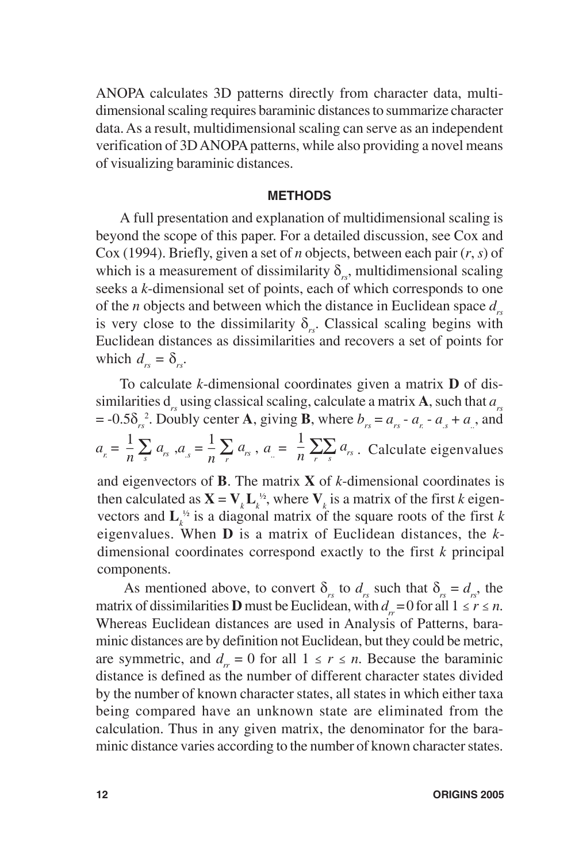ANOPA calculates 3D patterns directly from character data, multidimensional scaling requires baraminic distances to summarize character data. As a result, multidimensional scaling can serve as an independent verification of 3D ANOPA patterns, while also providing a novel means of visualizing baraminic distances.

#### **METHODS**

A full presentation and explanation of multidimensional scaling is beyond the scope of this paper. For a detailed discussion, see Cox and Cox (1994). Briefly, given a set of *n* objects, between each pair (*r*, *s*) of which is a measurement of dissimilarity  $\delta_{\mu}$ , multidimensional scaling seeks a *k*-dimensional set of points, each of which corresponds to one of the *n* objects and between which the distance in Euclidean space  $d_{\text{max}}$ is very close to the dissimilarity  $\delta_{rs}$ . Classical scaling begins with Euclidean distances as dissimilarities and recovers a set of points for which  $d_{rs} = \delta_{rs}$ .

 $\frac{1}{n}\sum_s a_{rs}^2$ ,  $a_{rs} = \frac{1}{n}\sum_r a_{rs}$ ,  $a_{rs} = \frac{1}{n}\sum_r \sum_s a_{rs}$ . Calculate eigenvalues  $\sum_{s} a_{rs}^{\dagger}, a_{s} = \frac{1}{n} \sum_{r} a_{rs}$  $a_r = \frac{1}{n} \sum_s a_{rs}$ ,  $a_{rs} = \frac{1}{n} \sum_r a_{rs}$ ,  $a_r = \frac{1}{n} \sum_r \sum_s a_{rs}$ and eigenvectors of **B**. The matrix **X** of *k*-dimensional coordinates is then calculated as  $\mathbf{X} = \mathbf{V}_k \mathbf{L}_k^{\nu_2}$ , where  $\mathbf{V}_k$  is a matrix of the first *k* eigenvectors and  $\mathbf{L}_k^{\nu_2}$  is a diagonal matrix of the square roots of the first *k* eigenvalues. When **D** is a matrix of Euclidean distances, the *k*-To calculate *k*-dimensional coordinates given a matrix **D** of dissimilarities  $d_{re}$  using classical scaling, calculate a matrix **A**, such that  $a_{re}$  $= -0.5\delta_{rs}^2$ . Doubly center **A**, giving **B**, where  $b_{rs} = a_{rs} - a_{r} - a_{s} + a_{r}$ , and *s*

dimensional coordinates correspond exactly to the first *k* principal

As mentioned above, to convert  $\delta_{rs}$  to  $d_{rs}$  such that  $\delta_{rs} = d_{rs}$ , the matrix of dissimilarities **D** must be Euclidean, with  $d = 0$  for all  $1 \le r \le n$ . Whereas Euclidean distances are used in Analysis of Patterns, baraminic distances are by definition not Euclidean, but they could be metric, are symmetric, and  $d_r = 0$  for all  $1 \le r \le n$ . Because the baraminic distance is defined as the number of different character states divided by the number of known character states, all states in which either taxa being compared have an unknown state are eliminated from the calculation. Thus in any given matrix, the denominator for the baraminic distance varies according to the number of known character states.

components.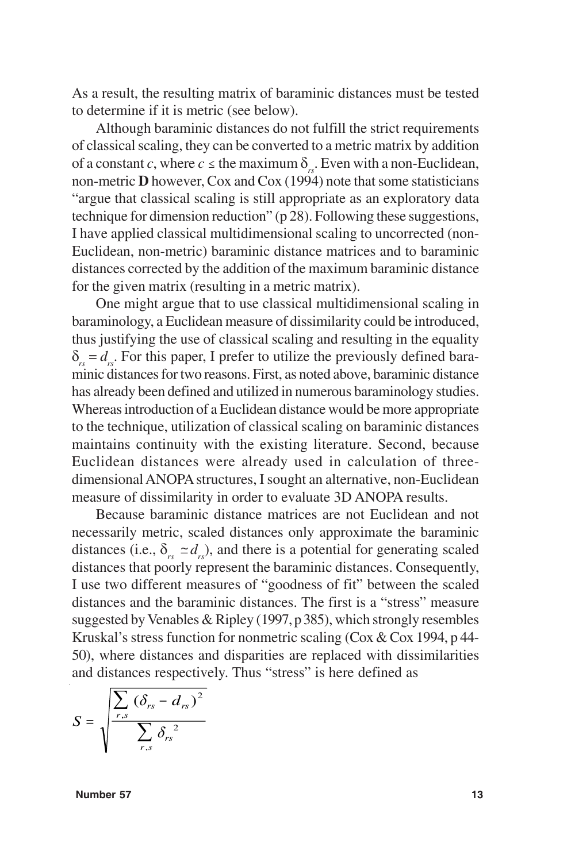As a result, the resulting matrix of baraminic distances must be tested to determine if it is metric (see below).

Although baraminic distances do not fulfill the strict requirements of classical scaling, they can be converted to a metric matrix by addition of a constant *c*, where  $c \leq$  the maximum  $\delta_{r}$ . Even with a non-Euclidean, non-metric **D** however, Cox and Cox (1994) note that some statisticians "argue that classical scaling is still appropriate as an exploratory data technique for dimension reduction" (p 28). Following these suggestions, I have applied classical multidimensional scaling to uncorrected (non-Euclidean, non-metric) baraminic distance matrices and to baraminic distances corrected by the addition of the maximum baraminic distance for the given matrix (resulting in a metric matrix).

One might argue that to use classical multidimensional scaling in baraminology, a Euclidean measure of dissimilarity could be introduced, thus justifying the use of classical scaling and resulting in the equality  $\delta_r = d_r$ . For this paper, I prefer to utilize the previously defined baraminic distances for two reasons. First, as noted above, baraminic distance has already been defined and utilized in numerous baraminology studies. Whereas introduction of a Euclidean distance would be more appropriate to the technique, utilization of classical scaling on baraminic distances maintains continuity with the existing literature. Second, because Euclidean distances were already used in calculation of threedimensional ANOPA structures, I sought an alternative, non-Euclidean measure of dissimilarity in order to evaluate 3D ANOPA results.

Because baraminic distance matrices are not Euclidean and not necessarily metric, scaled distances only approximate the baraminic distances (i.e.,  $\delta_{rs} \simeq d_{rs}$ ), and there is a potential for generating scaled distances that poorly represent the baraminic distances. Consequently, I use two different measures of "goodness of fit" between the scaled distances and the baraminic distances. The first is a "stress" measure suggested by Venables & Ripley (1997, p 385), which strongly resembles Kruskal's stress function for nonmetric scaling (Cox & Cox 1994, p 44- 50), where distances and disparities are replaced with dissimilarities and distances respectively. Thus "stress" is here defined as

$$
S = \sqrt{\frac{\sum_{r,s} (\delta_{rs} - d_{rs})^2}{\sum_{r,s} \delta_{rs}^2}}
$$

 **Number 57** 13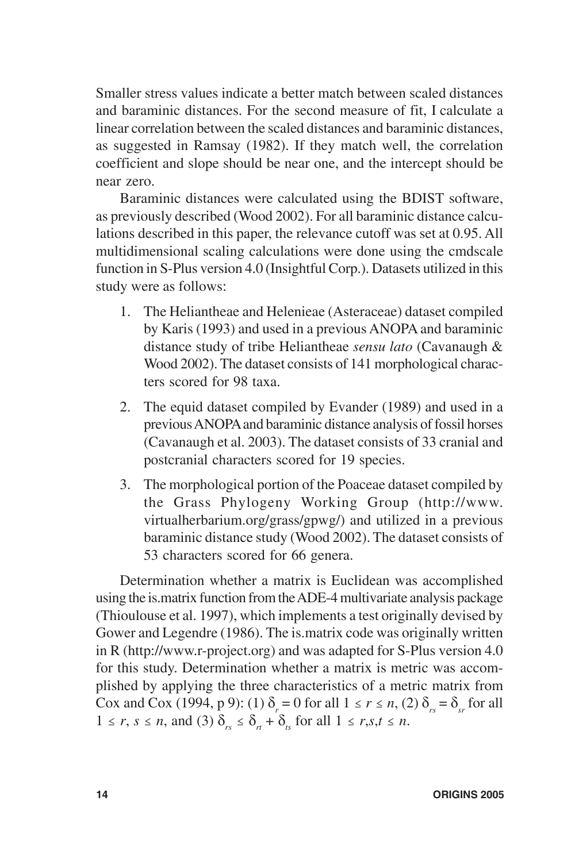Smaller stress values indicate a better match between scaled distances and baraminic distances. For the second measure of fit, I calculate a linear correlation between the scaled distances and baraminic distances, as suggested in Ramsay (1982). If they match well, the correlation coefficient and slope should be near one, and the intercept should be near zero.

Baraminic distances were calculated using the BDIST software, as previously described (Wood 2002). For all baraminic distance calculations described in this paper, the relevance cutoff was set at 0.95. All multidimensional scaling calculations were done using the cmdscale function in S-Plus version 4.0 (Insightful Corp.). Datasets utilized in this study were as follows:

- 1. The Heliantheae and Helenieae (Asteraceae) dataset compiled by Karis (1993) and used in a previous ANOPA and baraminic distance study of tribe Heliantheae *sensu lato* (Cavanaugh & Wood 2002). The dataset consists of 141 morphological characters scored for 98 taxa.
- 2. The equid dataset compiled by Evander (1989) and used in a previous ANOPA and baraminic distance analysis of fossil horses (Cavanaugh et al. 2003). The dataset consists of 33 cranial and postcranial characters scored for 19 species.
- 3. The morphological portion of the Poaceae dataset compiled by the Grass Phylogeny Working Group (http://www. virtualherbarium.org/grass/gpwg/) and utilized in a previous baraminic distance study (Wood 2002). The dataset consists of 53 characters scored for 66 genera.

Determination whether a matrix is Euclidean was accomplished using the is.matrix function from the ADE-4 multivariate analysis package (Thioulouse et al. 1997), which implements a test originally devised by Gower and Legendre (1986). The is.matrix code was originally written in R (http://www.r-project.org) and was adapted for S-Plus version 4.0 for this study. Determination whether a matrix is metric was accomplished by applying the three characteristics of a metric matrix from Cox and Cox (1994, p 9): (1)  $\delta_r = 0$  for all  $1 \le r \le n$ , (2)  $\delta_{rs} = \delta_{sr}$  for all  $1 \le r, s \le n$ , and (3)  $\delta_{rs} \le \delta_{rt} + \delta_{ts}$  for all  $1 \le r, s, t \le n$ .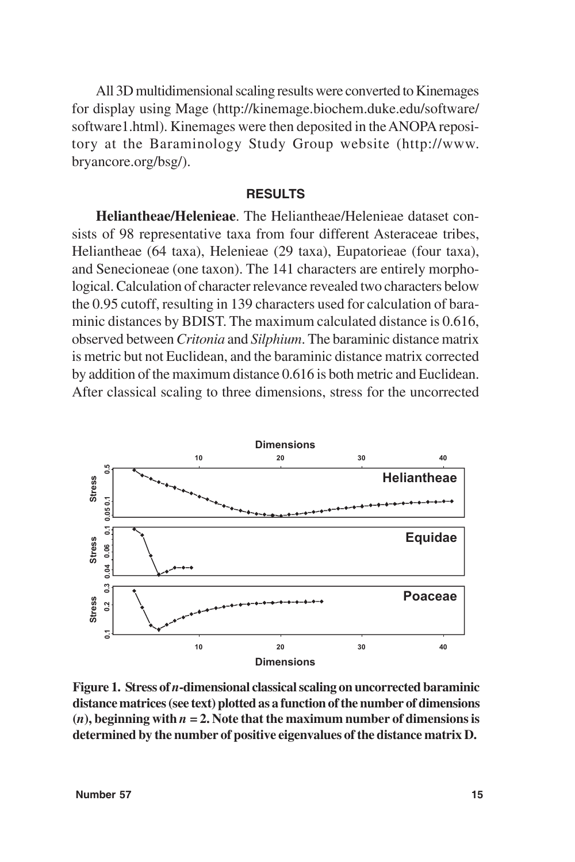All 3D multidimensional scaling results were converted to Kinemages for display using Mage (http://kinemage.biochem.duke.edu/software/ software1.html). Kinemages were then deposited in the ANOPA repository at the Baraminology Study Group website (http://www. bryancore.org/bsg/).

## **RESULTS**

**Heliantheae/Helenieae**. The Heliantheae/Helenieae dataset consists of 98 representative taxa from four different Asteraceae tribes, Heliantheae (64 taxa), Helenieae (29 taxa), Eupatorieae (four taxa), and Senecioneae (one taxon). The 141 characters are entirely morphological. Calculation of character relevance revealed two characters below the 0.95 cutoff, resulting in 139 characters used for calculation of baraminic distances by BDIST. The maximum calculated distance is 0.616, observed between *Critonia* and *Silphium*. The baraminic distance matrix is metric but not Euclidean, and the baraminic distance matrix corrected by addition of the maximum distance 0.616 is both metric and Euclidean. After classical scaling to three dimensions, stress for the uncorrected



**Figure 1. Stress of** *n***-dimensional classical scaling on uncorrected baraminic distance matrices (see text) plotted as a function of the number of dimensions**  $(n)$ , beginning with  $n = 2$ . Note that the maximum number of dimensions is **determined by the number of positive eigenvalues of the distance matrix D.**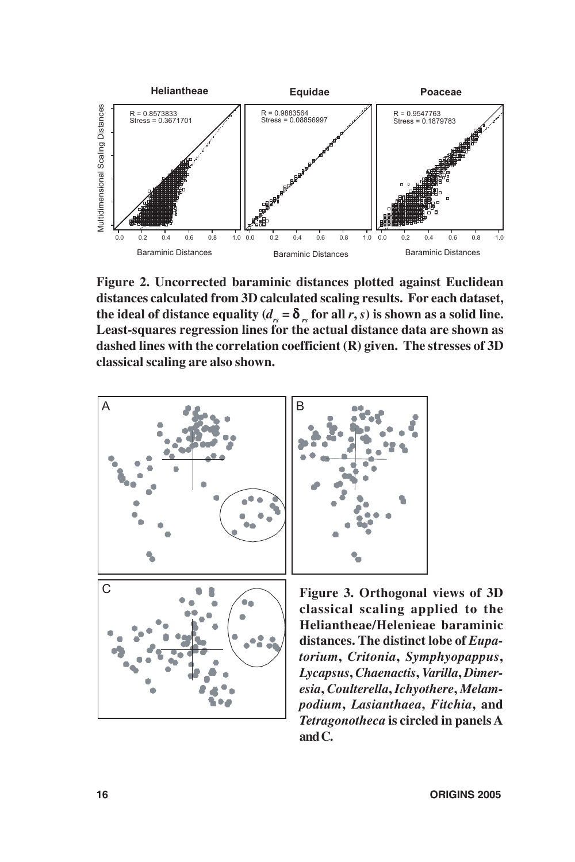

**Figure 2. Uncorrected baraminic distances plotted against Euclidean distances calculated from 3D calculated scaling results. For each dataset,** the ideal of distance equality  $(d_{rs} = \delta_{rs}$  for all *r*, *s*) is shown as a solid line. **Least-squares regression lines for the actual distance data are shown as dashed lines with the correlation coefficient (R) given. The stresses of 3D classical scaling are also shown.**



**Figure 3. Orthogonal views of 3D classical scaling applied to the Heliantheae/Helenieae baraminic distances. The distinct lobe of** *Eupatorium***,** *Critonia***,** *Symphyopappus***,** *Lycapsus***,** *Chaenactis***,** *Varilla***,** *Dimeresia***,** *Coulterella***,** *Ichyothere***,** *Melampodium***,** *Lasianthaea***,** *Fitchia***, and** *Tetragonotheca* **is circled in panels A and C.**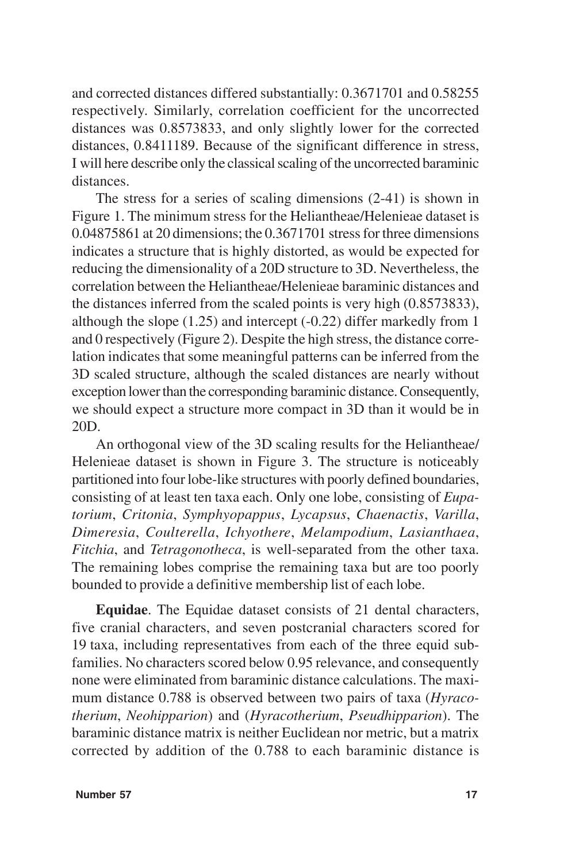and corrected distances differed substantially: 0.3671701 and 0.58255 respectively. Similarly, correlation coefficient for the uncorrected distances was 0.8573833, and only slightly lower for the corrected distances, 0.8411189. Because of the significant difference in stress, I will here describe only the classical scaling of the uncorrected baraminic distances.

The stress for a series of scaling dimensions (2-41) is shown in Figure 1. The minimum stress for the Heliantheae/Helenieae dataset is 0.04875861 at 20 dimensions; the 0.3671701 stress for three dimensions indicates a structure that is highly distorted, as would be expected for reducing the dimensionality of a 20D structure to 3D. Nevertheless, the correlation between the Heliantheae/Helenieae baraminic distances and the distances inferred from the scaled points is very high (0.8573833), although the slope (1.25) and intercept (-0.22) differ markedly from 1 and 0 respectively (Figure 2). Despite the high stress, the distance correlation indicates that some meaningful patterns can be inferred from the 3D scaled structure, although the scaled distances are nearly without exception lower than the corresponding baraminic distance. Consequently, we should expect a structure more compact in 3D than it would be in 20D.

An orthogonal view of the 3D scaling results for the Heliantheae/ Helenieae dataset is shown in Figure 3. The structure is noticeably partitioned into four lobe-like structures with poorly defined boundaries, consisting of at least ten taxa each. Only one lobe, consisting of *Eupatorium*, *Critonia*, *Symphyopappus*, *Lycapsus*, *Chaenactis*, *Varilla*, *Dimeresia*, *Coulterella*, *Ichyothere*, *Melampodium*, *Lasianthaea*, *Fitchia*, and *Tetragonotheca*, is well-separated from the other taxa. The remaining lobes comprise the remaining taxa but are too poorly bounded to provide a definitive membership list of each lobe.

**Equidae**. The Equidae dataset consists of 21 dental characters, five cranial characters, and seven postcranial characters scored for 19 taxa, including representatives from each of the three equid subfamilies. No characters scored below 0.95 relevance, and consequently none were eliminated from baraminic distance calculations. The maximum distance 0.788 is observed between two pairs of taxa (*Hyracotherium*, *Neohipparion*) and (*Hyracotherium*, *Pseudhipparion*). The baraminic distance matrix is neither Euclidean nor metric, but a matrix corrected by addition of the 0.788 to each baraminic distance is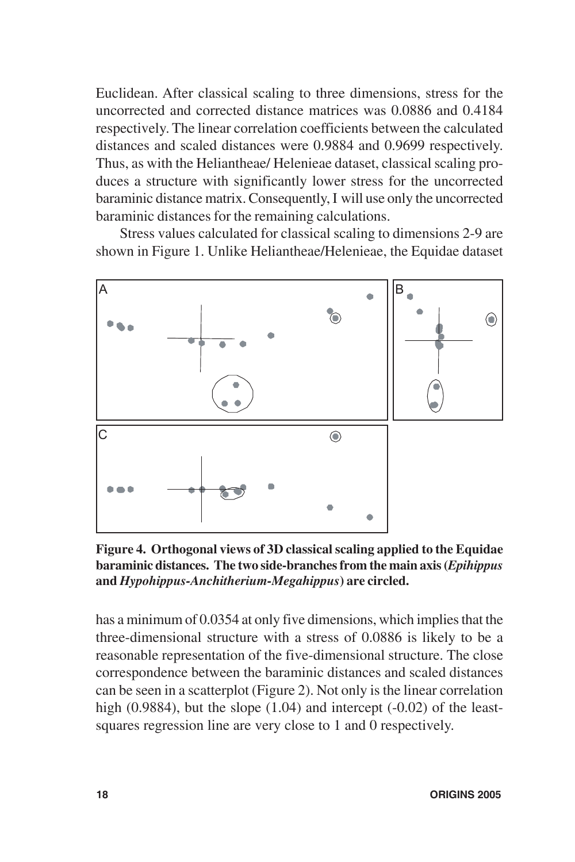Euclidean. After classical scaling to three dimensions, stress for the uncorrected and corrected distance matrices was 0.0886 and 0.4184 respectively. The linear correlation coefficients between the calculated distances and scaled distances were 0.9884 and 0.9699 respectively. Thus, as with the Heliantheae/ Helenieae dataset, classical scaling produces a structure with significantly lower stress for the uncorrected baraminic distance matrix. Consequently, I will use only the uncorrected baraminic distances for the remaining calculations.

Stress values calculated for classical scaling to dimensions 2-9 are shown in Figure 1. Unlike Heliantheae/Helenieae, the Equidae dataset



**Figure 4. Orthogonal views of 3D classical scaling applied to the Equidae baraminic distances. The two side-branches from the main axis (***Epihippus* **and** *Hypohippus-Anchitherium-Megahippus***) are circled.**

has a minimum of 0.0354 at only five dimensions, which implies that the three-dimensional structure with a stress of 0.0886 is likely to be a reasonable representation of the five-dimensional structure. The close correspondence between the baraminic distances and scaled distances can be seen in a scatterplot (Figure 2). Not only is the linear correlation high  $(0.9884)$ , but the slope  $(1.04)$  and intercept  $(-0.02)$  of the leastsquares regression line are very close to 1 and 0 respectively.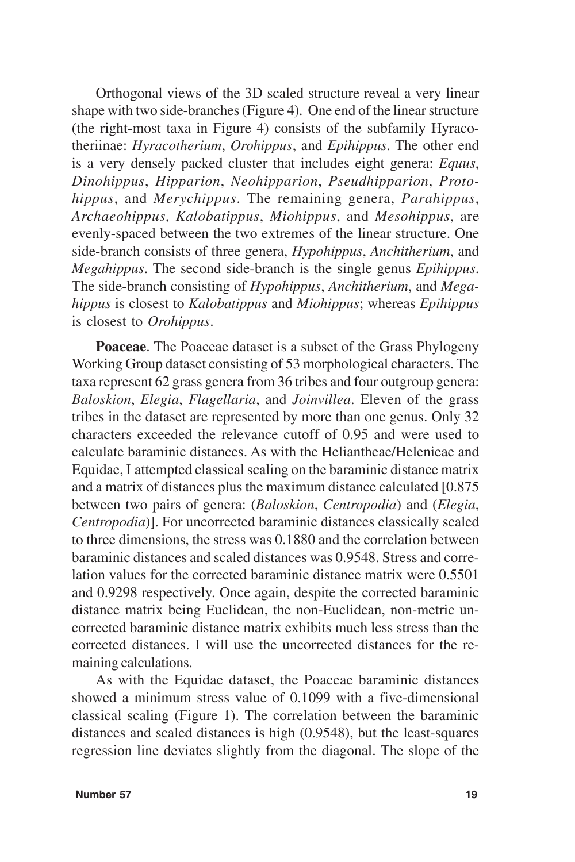Orthogonal views of the 3D scaled structure reveal a very linear shape with two side-branches (Figure 4). One end of the linear structure (the right-most taxa in Figure 4) consists of the subfamily Hyracotheriinae: *Hyracotherium*, *Orohippus*, and *Epihippus*. The other end is a very densely packed cluster that includes eight genera: *Equus*, *Dinohippus*, *Hipparion*, *Neohipparion*, *Pseudhipparion*, *Protohippus*, and *Merychippus*. The remaining genera, *Parahippus*, *Archaeohippus*, *Kalobatippus*, *Miohippus*, and *Mesohippus*, are evenly-spaced between the two extremes of the linear structure. One side-branch consists of three genera, *Hypohippus*, *Anchitherium*, and *Megahippus*. The second side-branch is the single genus *Epihippus*. The side-branch consisting of *Hypohippus*, *Anchitherium*, and *Megahippus* is closest to *Kalobatippus* and *Miohippus*; whereas *Epihippus* is closest to *Orohippus*.

**Poaceae**. The Poaceae dataset is a subset of the Grass Phylogeny Working Group dataset consisting of 53 morphological characters. The taxa represent 62 grass genera from 36 tribes and four outgroup genera: *Baloskion*, *Elegia*, *Flagellaria*, and *Joinvillea*. Eleven of the grass tribes in the dataset are represented by more than one genus. Only 32 characters exceeded the relevance cutoff of 0.95 and were used to calculate baraminic distances. As with the Heliantheae/Helenieae and Equidae, I attempted classical scaling on the baraminic distance matrix and a matrix of distances plus the maximum distance calculated [0.875 between two pairs of genera: (*Baloskion*, *Centropodia*) and (*Elegia*, *Centropodia*)]. For uncorrected baraminic distances classically scaled to three dimensions, the stress was 0.1880 and the correlation between baraminic distances and scaled distances was 0.9548. Stress and correlation values for the corrected baraminic distance matrix were 0.5501 and 0.9298 respectively. Once again, despite the corrected baraminic distance matrix being Euclidean, the non-Euclidean, non-metric uncorrected baraminic distance matrix exhibits much less stress than the corrected distances. I will use the uncorrected distances for the remaining calculations.

As with the Equidae dataset, the Poaceae baraminic distances showed a minimum stress value of 0.1099 with a five-dimensional classical scaling (Figure 1). The correlation between the baraminic distances and scaled distances is high (0.9548), but the least-squares regression line deviates slightly from the diagonal. The slope of the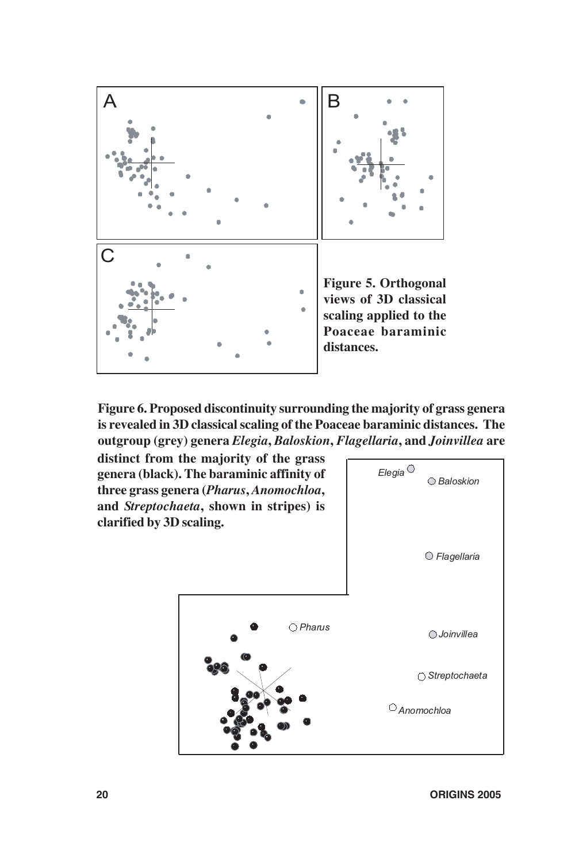

**Figure 6. Proposed discontinuity surrounding the majority of grass genera is revealed in 3D classical scaling of the Poaceae baraminic distances. The outgroup (grey) genera** *Elegia***,** *Baloskion***,** *Flagellaria***, and** *Joinvillea* **are**

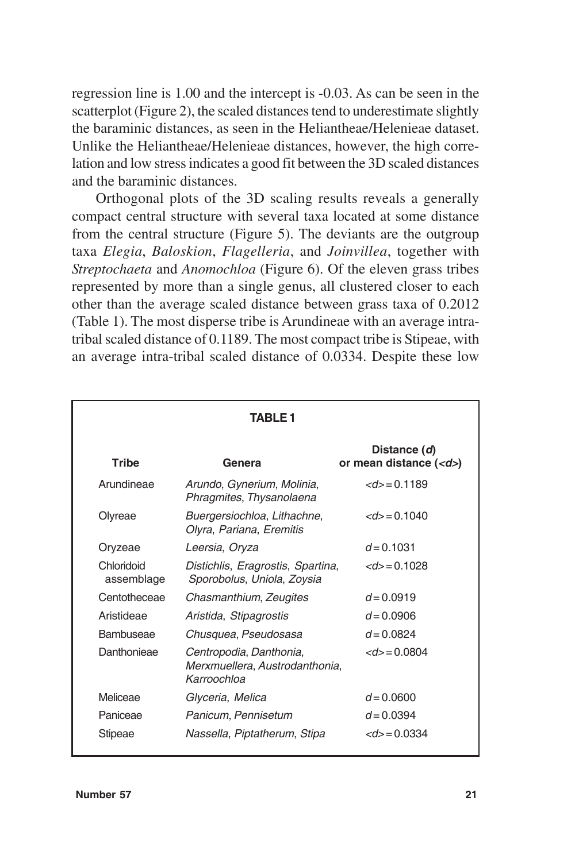regression line is 1.00 and the intercept is -0.03. As can be seen in the scatterplot (Figure 2), the scaled distances tend to underestimate slightly the baraminic distances, as seen in the Heliantheae/Helenieae dataset. Unlike the Heliantheae/Helenieae distances, however, the high correlation and low stress indicates a good fit between the 3D scaled distances and the baraminic distances.

Orthogonal plots of the 3D scaling results reveals a generally compact central structure with several taxa located at some distance from the central structure (Figure 5). The deviants are the outgroup taxa *Elegia*, *Baloskion*, *Flagelleria*, and *Joinvillea*, together with *Streptochaeta* and *Anomochloa* (Figure 6). Of the eleven grass tribes represented by more than a single genus, all clustered closer to each other than the average scaled distance between grass taxa of 0.2012 (Table 1). The most disperse tribe is Arundineae with an average intratribal scaled distance of 0.1189. The most compact tribe is Stipeae, with an average intra-tribal scaled distance of 0.0334. Despite these low

| <b>TABLE1</b>            |                                                                          |                                        |
|--------------------------|--------------------------------------------------------------------------|----------------------------------------|
| <b>Tribe</b>             | Genera                                                                   | Distance (d)<br>or mean distance $(d)$ |
| Arundineae               | Arundo, Gynerium, Molinia,<br>Phragmites, Thysanolaena                   | $<d>=0.1189$                           |
| Olyreae                  | Buergersiochloa, Lithachne,<br>Olyra, Pariana, Eremitis                  | $<d> = 0.1040$                         |
| Oryzeae                  | Leersia, Oryza                                                           | $d = 0.1031$                           |
| Chloridoid<br>assemblage | Distichlis, Eragrostis, Spartina,<br>Sporobolus, Uniola, Zoysia          | $<d> = 0.1028$                         |
| Centotheceae             | Chasmanthium, Zeugites                                                   | $d = 0.0919$                           |
| Aristideae               | Aristida, Stipagrostis                                                   | $d = 0.0906$                           |
| Bambuseae                | Chusquea, Pseudosasa                                                     | $d = 0.0824$                           |
| Danthonieae              | Centropodia, Danthonia,<br>Merxmuellera, Austrodanthonia,<br>Karroochloa | $<d> = 0.0804$                         |
| Meliceae                 | Glyceria, Melica                                                         | $d = 0.0600$                           |
| Paniceae                 | Panicum, Pennisetum                                                      | $d = 0.0394$                           |
| Stipeae                  | Nassella, Piptatherum, Stipa                                             | $<d> = 0.0334$                         |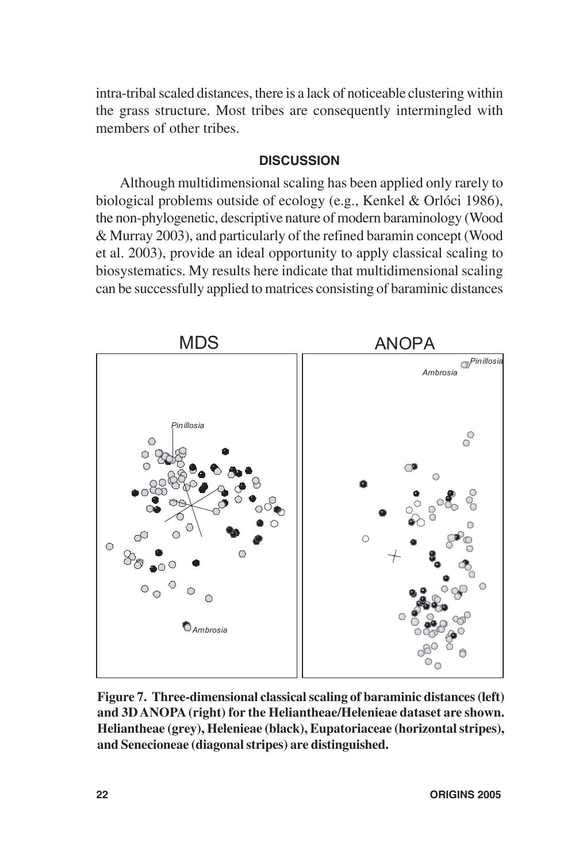intra-tribal scaled distances, there is a lack of noticeable clustering within the grass structure. Most tribes are consequently intermingled with members of other tribes.

## **DISCUSSION**

Although multidimensional scaling has been applied only rarely to biological problems outside of ecology (e.g., Kenkel & Orlóci 1986), the non-phylogenetic, descriptive nature of modern baraminology (Wood & Murray 2003), and particularly of the refined baramin concept (Wood et al. 2003), provide an ideal opportunity to apply classical scaling to biosystematics. My results here indicate that multidimensional scaling can be successfully applied to matrices consisting of baraminic distances



**Figure 7. Three-dimensional classical scaling of baraminic distances (left) and 3D ANOPA (right) for the Heliantheae/Helenieae dataset are shown. Heliantheae (grey), Helenieae (black), Eupatoriaceae (horizontal stripes), and Senecioneae (diagonal stripes) are distinguished.**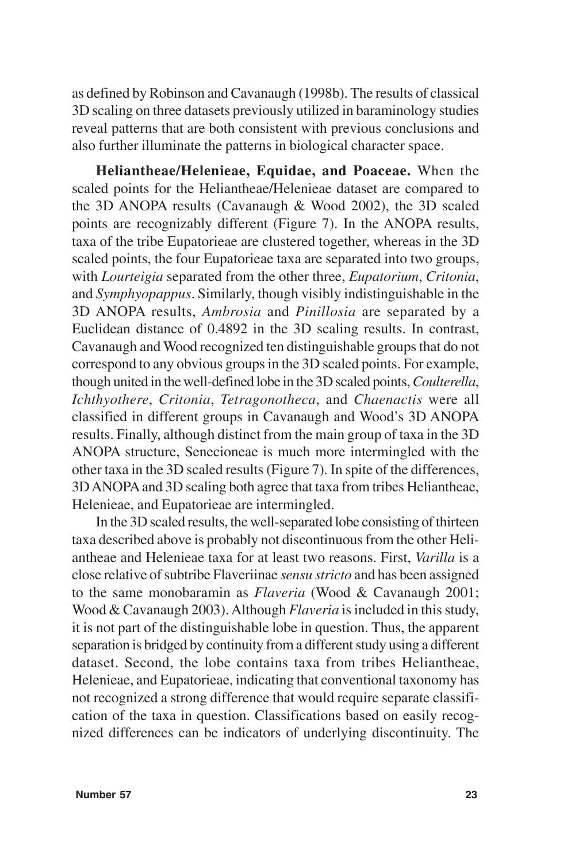as defined by Robinson and Cavanaugh (1998b). The results of classical 3D scaling on three datasets previously utilized in baraminology studies reveal patterns that are both consistent with previous conclusions and also further illuminate the patterns in biological character space.

**Heliantheae/Helenieae, Equidae, and Poaceae.** When the scaled points for the Heliantheae/Helenieae dataset are compared to the 3D ANOPA results (Cavanaugh & Wood 2002), the 3D scaled points are recognizably different (Figure 7). In the ANOPA results, taxa of the tribe Eupatorieae are clustered together, whereas in the 3D scaled points, the four Eupatorieae taxa are separated into two groups, with *Lourteigia* separated from the other three, *Eupatorium*, *Critonia*, and *Symphyopappus*. Similarly, though visibly indistinguishable in the 3D ANOPA results, *Ambrosia* and *Pinillosia* are separated by a Euclidean distance of 0.4892 in the 3D scaling results. In contrast, Cavanaugh and Wood recognized ten distinguishable groups that do not correspond to any obvious groups in the 3D scaled points. For example, though united in the well-defined lobe in the 3D scaled points, *Coulterella*, *Ichthyothere*, *Critonia*, *Tetragonotheca*, and *Chaenactis* were all classified in different groups in Cavanaugh and Wood's 3D ANOPA results. Finally, although distinct from the main group of taxa in the 3D ANOPA structure, Senecioneae is much more intermingled with the other taxa in the 3D scaled results (Figure 7). In spite of the differences, 3D ANOPA and 3D scaling both agree that taxa from tribes Heliantheae, Helenieae, and Eupatorieae are intermingled.

In the 3D scaled results, the well-separated lobe consisting of thirteen taxa described above is probably not discontinuous from the other Heliantheae and Helenieae taxa for at least two reasons. First, *Varilla* is a close relative of subtribe Flaveriinae *sensu stricto* and has been assigned to the same monobaramin as *Flaveria* (Wood & Cavanaugh 2001; Wood & Cavanaugh 2003). Although *Flaveria* is included in this study, it is not part of the distinguishable lobe in question. Thus, the apparent separation is bridged by continuity from a different study using a different dataset. Second, the lobe contains taxa from tribes Heliantheae, Helenieae, and Eupatorieae, indicating that conventional taxonomy has not recognized a strong difference that would require separate classification of the taxa in question. Classifications based on easily recognized differences can be indicators of underlying discontinuity. The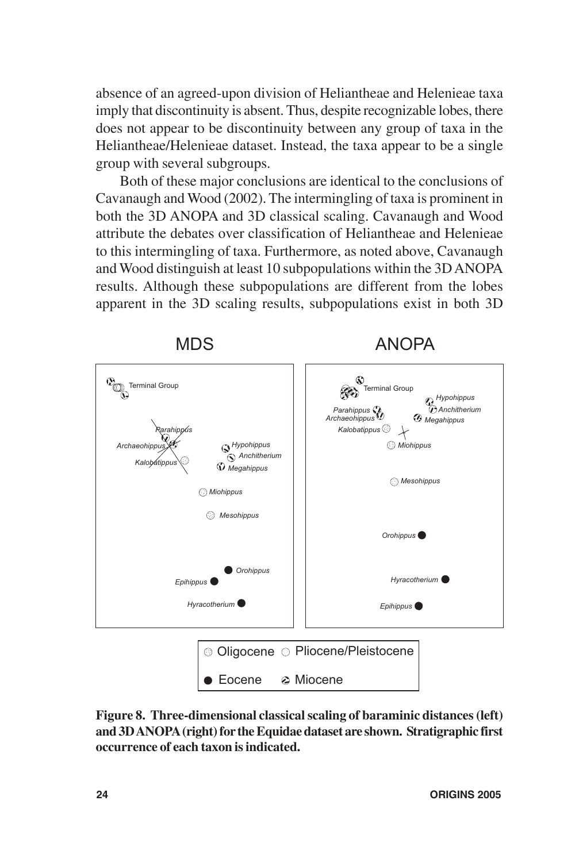absence of an agreed-upon division of Heliantheae and Helenieae taxa imply that discontinuity is absent. Thus, despite recognizable lobes, there does not appear to be discontinuity between any group of taxa in the Heliantheae/Helenieae dataset. Instead, the taxa appear to be a single group with several subgroups.

Both of these major conclusions are identical to the conclusions of Cavanaugh and Wood (2002). The intermingling of taxa is prominent in both the 3D ANOPA and 3D classical scaling. Cavanaugh and Wood attribute the debates over classification of Heliantheae and Helenieae to this intermingling of taxa. Furthermore, as noted above, Cavanaugh and Wood distinguish at least 10 subpopulations within the 3D ANOPA results. Although these subpopulations are different from the lobes apparent in the 3D scaling results, subpopulations exist in both 3D



**Figure 8. Three-dimensional classical scaling of baraminic distances (left) and 3D ANOPA (right) for the Equidae dataset are shown. Stratigraphic first occurrence of each taxon is indicated.**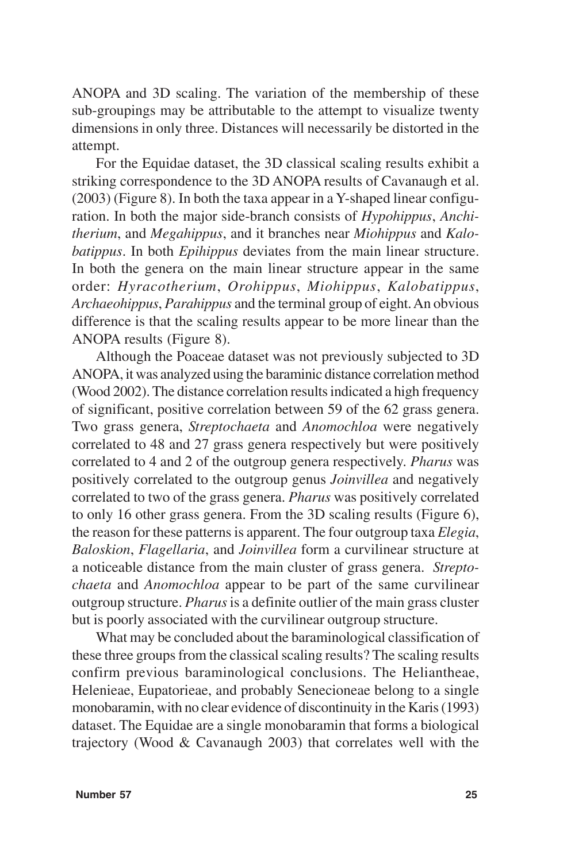ANOPA and 3D scaling. The variation of the membership of these sub-groupings may be attributable to the attempt to visualize twenty dimensions in only three. Distances will necessarily be distorted in the attempt.

For the Equidae dataset, the 3D classical scaling results exhibit a striking correspondence to the 3D ANOPA results of Cavanaugh et al. (2003) (Figure 8). In both the taxa appear in a Y-shaped linear configuration. In both the major side-branch consists of *Hypohippus*, *Anchitherium*, and *Megahippus*, and it branches near *Miohippus* and *Kalobatippus*. In both *Epihippus* deviates from the main linear structure. In both the genera on the main linear structure appear in the same order: *Hyracotherium*, *Orohippus*, *Miohippus*, *Kalobatippus*, *Archaeohippus*, *Parahippus* and the terminal group of eight. An obvious difference is that the scaling results appear to be more linear than the ANOPA results (Figure 8).

Although the Poaceae dataset was not previously subjected to 3D ANOPA, it was analyzed using the baraminic distance correlation method (Wood 2002). The distance correlation results indicated a high frequency of significant, positive correlation between 59 of the 62 grass genera. Two grass genera, *Streptochaeta* and *Anomochloa* were negatively correlated to 48 and 27 grass genera respectively but were positively correlated to 4 and 2 of the outgroup genera respectively. *Pharus* was positively correlated to the outgroup genus *Joinvillea* and negatively correlated to two of the grass genera. *Pharus* was positively correlated to only 16 other grass genera. From the 3D scaling results (Figure 6), the reason for these patterns is apparent. The four outgroup taxa *Elegia*, *Baloskion*, *Flagellaria*, and *Joinvillea* form a curvilinear structure at a noticeable distance from the main cluster of grass genera. *Streptochaeta* and *Anomochloa* appear to be part of the same curvilinear outgroup structure. *Pharus* is a definite outlier of the main grass cluster but is poorly associated with the curvilinear outgroup structure.

What may be concluded about the baraminological classification of these three groups from the classical scaling results? The scaling results confirm previous baraminological conclusions. The Heliantheae, Helenieae, Eupatorieae, and probably Senecioneae belong to a single monobaramin, with no clear evidence of discontinuity in the Karis (1993) dataset. The Equidae are a single monobaramin that forms a biological trajectory (Wood & Cavanaugh 2003) that correlates well with the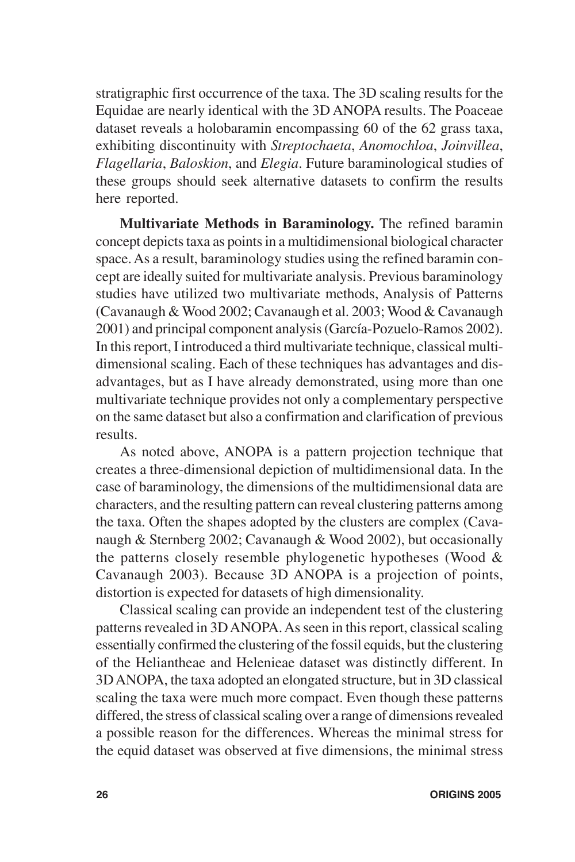stratigraphic first occurrence of the taxa. The 3D scaling results for the Equidae are nearly identical with the 3D ANOPA results. The Poaceae dataset reveals a holobaramin encompassing 60 of the 62 grass taxa, exhibiting discontinuity with *Streptochaeta*, *Anomochloa*, *Joinvillea*, *Flagellaria*, *Baloskion*, and *Elegia*. Future baraminological studies of these groups should seek alternative datasets to confirm the results here reported.

**Multivariate Methods in Baraminology.** The refined baramin concept depicts taxa as points in a multidimensional biological character space. As a result, baraminology studies using the refined baramin concept are ideally suited for multivariate analysis. Previous baraminology studies have utilized two multivariate methods, Analysis of Patterns (Cavanaugh & Wood 2002; Cavanaugh et al. 2003; Wood & Cavanaugh 2001) and principal component analysis (García-Pozuelo-Ramos 2002). In this report, I introduced a third multivariate technique, classical multidimensional scaling. Each of these techniques has advantages and disadvantages, but as I have already demonstrated, using more than one multivariate technique provides not only a complementary perspective on the same dataset but also a confirmation and clarification of previous results.

As noted above, ANOPA is a pattern projection technique that creates a three-dimensional depiction of multidimensional data. In the case of baraminology, the dimensions of the multidimensional data are characters, and the resulting pattern can reveal clustering patterns among the taxa. Often the shapes adopted by the clusters are complex (Cavanaugh & Sternberg 2002; Cavanaugh & Wood 2002), but occasionally the patterns closely resemble phylogenetic hypotheses (Wood & Cavanaugh 2003). Because 3D ANOPA is a projection of points, distortion is expected for datasets of high dimensionality.

Classical scaling can provide an independent test of the clustering patterns revealed in 3D ANOPA. As seen in this report, classical scaling essentially confirmed the clustering of the fossil equids, but the clustering of the Heliantheae and Helenieae dataset was distinctly different. In 3D ANOPA, the taxa adopted an elongated structure, but in 3D classical scaling the taxa were much more compact. Even though these patterns differed, the stress of classical scaling over a range of dimensions revealed a possible reason for the differences. Whereas the minimal stress for the equid dataset was observed at five dimensions, the minimal stress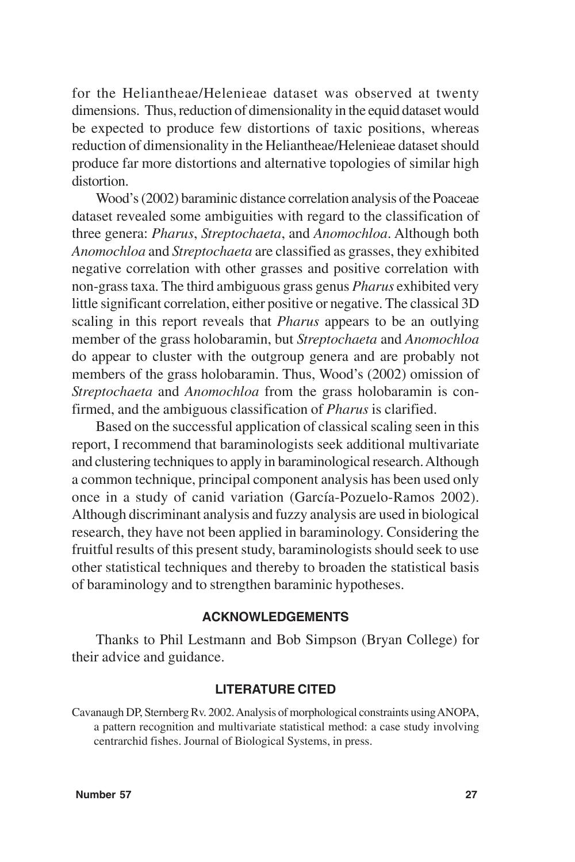for the Heliantheae/Helenieae dataset was observed at twenty dimensions. Thus, reduction of dimensionality in the equid dataset would be expected to produce few distortions of taxic positions, whereas reduction of dimensionality in the Heliantheae/Helenieae dataset should produce far more distortions and alternative topologies of similar high distortion.

Wood's (2002) baraminic distance correlation analysis of the Poaceae dataset revealed some ambiguities with regard to the classification of three genera: *Pharus*, *Streptochaeta*, and *Anomochloa*. Although both *Anomochloa* and *Streptochaeta* are classified as grasses, they exhibited negative correlation with other grasses and positive correlation with non-grass taxa. The third ambiguous grass genus *Pharus* exhibited very little significant correlation, either positive or negative. The classical 3D scaling in this report reveals that *Pharus* appears to be an outlying member of the grass holobaramin, but *Streptochaeta* and *Anomochloa* do appear to cluster with the outgroup genera and are probably not members of the grass holobaramin. Thus, Wood's (2002) omission of *Streptochaeta* and *Anomochloa* from the grass holobaramin is confirmed, and the ambiguous classification of *Pharus* is clarified.

Based on the successful application of classical scaling seen in this report, I recommend that baraminologists seek additional multivariate and clustering techniques to apply in baraminological research. Although a common technique, principal component analysis has been used only once in a study of canid variation (García-Pozuelo-Ramos 2002). Although discriminant analysis and fuzzy analysis are used in biological research, they have not been applied in baraminology. Considering the fruitful results of this present study, baraminologists should seek to use other statistical techniques and thereby to broaden the statistical basis of baraminology and to strengthen baraminic hypotheses.

# **ACKNOWLEDGEMENTS**

Thanks to Phil Lestmann and Bob Simpson (Bryan College) for their advice and guidance.

#### **LITERATURE CITED**

Cavanaugh DP, Sternberg Rv. 2002. Analysis of morphological constraints using ANOPA, a pattern recognition and multivariate statistical method: a case study involving centrarchid fishes. Journal of Biological Systems, in press.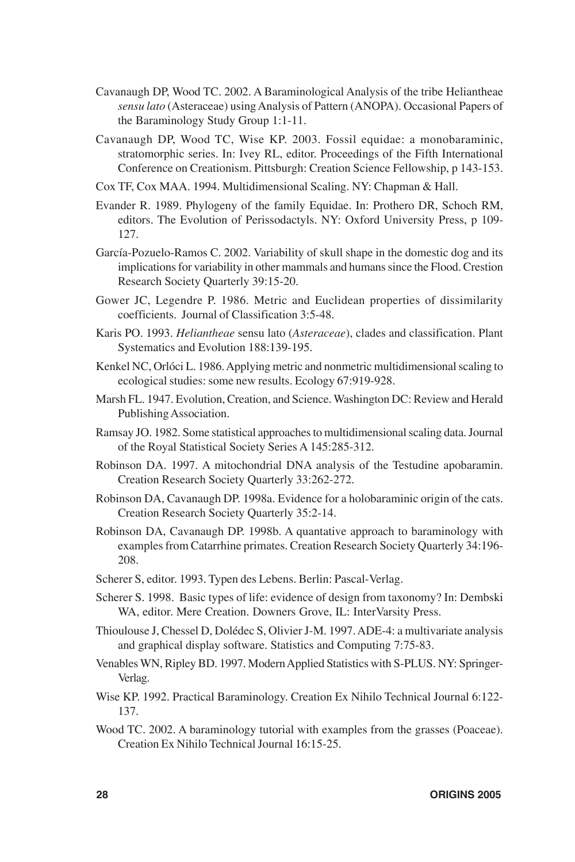- Cavanaugh DP, Wood TC. 2002. A Baraminological Analysis of the tribe Heliantheae *sensu lato* (Asteraceae) using Analysis of Pattern (ANOPA). Occasional Papers of the Baraminology Study Group 1:1-11.
- Cavanaugh DP, Wood TC, Wise KP. 2003. Fossil equidae: a monobaraminic, stratomorphic series. In: Ivey RL, editor. Proceedings of the Fifth International Conference on Creationism. Pittsburgh: Creation Science Fellowship, p 143-153.
- Cox TF, Cox MAA. 1994. Multidimensional Scaling. NY: Chapman & Hall.
- Evander R. 1989. Phylogeny of the family Equidae. In: Prothero DR, Schoch RM, editors. The Evolution of Perissodactyls. NY: Oxford University Press, p 109- 127.
- García-Pozuelo-Ramos C. 2002. Variability of skull shape in the domestic dog and its implications for variability in other mammals and humans since the Flood. Crestion Research Society Quarterly 39:15-20.
- Gower JC, Legendre P. 1986. Metric and Euclidean properties of dissimilarity coefficients. Journal of Classification 3:5-48.
- Karis PO. 1993. *Heliantheae* sensu lato (*Asteraceae*), clades and classification. Plant Systematics and Evolution 188:139-195.
- Kenkel NC, Orlóci L. 1986. Applying metric and nonmetric multidimensional scaling to ecological studies: some new results. Ecology 67:919-928.
- Marsh FL. 1947. Evolution, Creation, and Science. Washington DC: Review and Herald Publishing Association.
- Ramsay JO. 1982. Some statistical approaches to multidimensional scaling data. Journal of the Royal Statistical Society Series A 145:285-312.
- Robinson DA. 1997. A mitochondrial DNA analysis of the Testudine apobaramin. Creation Research Society Quarterly 33:262-272.
- Robinson DA, Cavanaugh DP. 1998a. Evidence for a holobaraminic origin of the cats. Creation Research Society Quarterly 35:2-14.
- Robinson DA, Cavanaugh DP. 1998b. A quantative approach to baraminology with examples from Catarrhine primates. Creation Research Society Quarterly 34:196- 208.
- Scherer S, editor. 1993. Typen des Lebens. Berlin: Pascal-Verlag.
- Scherer S. 1998. Basic types of life: evidence of design from taxonomy? In: Dembski WA, editor. Mere Creation. Downers Grove, IL: InterVarsity Press.
- Thioulouse J, Chessel D, Dolédec S, Olivier J-M. 1997. ADE-4: a multivariate analysis and graphical display software. Statistics and Computing 7:75-83.
- Venables WN, Ripley BD. 1997. Modern Applied Statistics with S-PLUS. NY: Springer-Verlag.
- Wise KP. 1992. Practical Baraminology. Creation Ex Nihilo Technical Journal 6:122- 137.
- Wood TC. 2002. A baraminology tutorial with examples from the grasses (Poaceae). Creation Ex Nihilo Technical Journal 16:15-25.